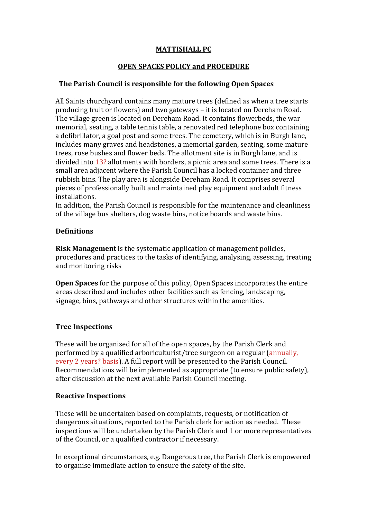# **MATTISHALL PC**

# **OPEN SPACES POLICY and PROCEDURE**

### The Parish Council is responsible for the following Open Spaces

All Saints churchyard contains many mature trees (defined as when a tree starts producing fruit or flowers) and two gateways - it is located on Dereham Road. The village green is located on Dereham Road. It contains flowerbeds, the war memorial, seating, a table tennis table, a renovated red telephone box containing a defibrillator, a goal post and some trees. The cemetery, which is in Burgh lane, includes many graves and headstones, a memorial garden, seating, some mature trees, rose bushes and flower beds. The allotment site is in Burgh lane, and is divided into  $13$ ? allotments with borders, a picnic area and some trees. There is a small area adjacent where the Parish Council has a locked container and three rubbish bins. The play area is alongside Dereham Road. It comprises several pieces of professionally built and maintained play equipment and adult fitness installations. 

In addition, the Parish Council is responsible for the maintenance and cleanliness of the village bus shelters, dog waste bins, notice boards and waste bins.

### **Definitions**

**Risk Management** is the systematic application of management policies, procedures and practices to the tasks of identifying, analysing, assessing, treating and monitoring risks

**Open Spaces** for the purpose of this policy, Open Spaces incorporates the entire areas described and includes other facilities such as fencing, landscaping, signage, bins, pathways and other structures within the amenities.

### **Tree Inspections**

These will be organised for all of the open spaces, by the Parish Clerk and performed by a qualified arboriculturist/tree surgeon on a regular (annually, every 2 years? basis). A full report will be presented to the Parish Council. Recommendations will be implemented as appropriate (to ensure public safety), after discussion at the next available Parish Council meeting.

#### **Reactive Inspections**

These will be undertaken based on complaints, requests, or notification of dangerous situations, reported to the Parish clerk for action as needed. These inspections will be undertaken by the Parish Clerk and 1 or more representatives of the Council, or a qualified contractor if necessary.

In exceptional circumstances, e.g. Dangerous tree, the Parish Clerk is empowered to organise immediate action to ensure the safety of the site.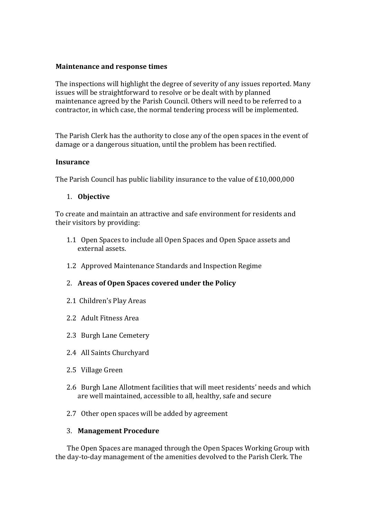### **Maintenance and response times**

The inspections will highlight the degree of severity of any issues reported. Many issues will be straightforward to resolve or be dealt with by planned maintenance agreed by the Parish Council. Others will need to be referred to a contractor, in which case, the normal tendering process will be implemented.

The Parish Clerk has the authority to close any of the open spaces in the event of damage or a dangerous situation, until the problem has been rectified.

#### **Insurance**

The Parish Council has public liability insurance to the value of  $£10,000,000$ 

# 1. **Objective**

To create and maintain an attractive and safe environment for residents and their visitors by providing:

- 1.1 Open Spaces to include all Open Spaces and Open Space assets and external assets.
- 1.2 Approved Maintenance Standards and Inspection Regime

### 2. Areas of Open Spaces covered under the Policy

- 2.1 Children's Play Areas
- 2.2 Adult Fitness Area
- 2.3 Burgh Lane Cemetery
- 2.4 All Saints Churchyard
- 2.5 Village Green
- 2.6 Burgh Lane Allotment facilities that will meet residents' needs and which are well maintained, accessible to all, healthy, safe and secure
- 2.7 Other open spaces will be added by agreement

### 3. **Management Procedure**

The Open Spaces are managed through the Open Spaces Working Group with the day-to-day management of the amenities devolved to the Parish Clerk. The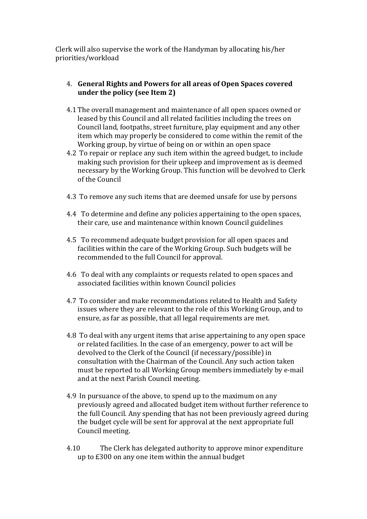Clerk will also supervise the work of the Handyman by allocating his/her priorities/workload

# 4. General Rights and Powers for all areas of Open Spaces covered **under the policy (see Item 2)**

- 4.1 The overall management and maintenance of all open spaces owned or leased by this Council and all related facilities including the trees on Council land, footpaths, street furniture, play equipment and any other item which may properly be considered to come within the remit of the Working group, by virtue of being on or within an open space
- 4.2 To repair or replace any such item within the agreed budget, to include making such provision for their upkeep and improvement as is deemed necessary by the Working Group. This function will be devolved to Clerk of the Council
- 4.3 To remove any such items that are deemed unsafe for use by persons
- 4.4 To determine and define any policies appertaining to the open spaces, their care, use and maintenance within known Council guidelines
- 4.5 To recommend adequate budget provision for all open spaces and facilities within the care of the Working Group. Such budgets will be recommended to the full Council for approval.
- 4.6 To deal with any complaints or requests related to open spaces and associated facilities within known Council policies
- 4.7 To consider and make recommendations related to Health and Safety issues where they are relevant to the role of this Working Group, and to ensure, as far as possible, that all legal requirements are met.
- 4.8 To deal with any urgent items that arise appertaining to any open space or related facilities. In the case of an emergency, power to act will be devolved to the Clerk of the Council (if necessary/possible) in consultation with the Chairman of the Council. Any such action taken must be reported to all Working Group members immediately by e-mail and at the next Parish Council meeting.
- 4.9 In pursuance of the above, to spend up to the maximum on any previously agreed and allocated budget item without further reference to the full Council. Any spending that has not been previously agreed during the budget cycle will be sent for approval at the next appropriate full Council meeting.
- 4.10 The Clerk has delegated authority to approve minor expenditure up to  $£300$  on any one item within the annual budget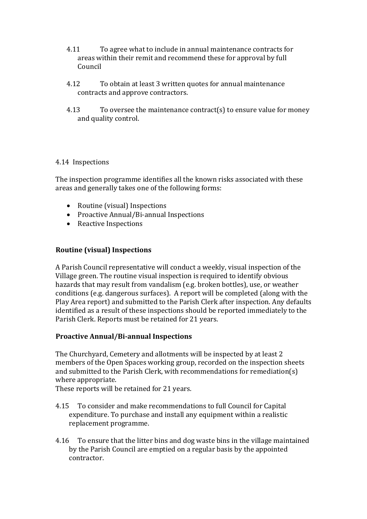- 4.11 To agree what to include in annual maintenance contracts for areas within their remit and recommend these for approval by full Council
- 4.12 To obtain at least 3 written quotes for annual maintenance contracts and approve contractors.
- 4.13 To oversee the maintenance contract(s) to ensure value for money and quality control.

### 4.14 Inspections

The inspection programme identifies all the known risks associated with these areas and generally takes one of the following forms:

- Routine (visual) Inspections
- Proactive Annual/Bi-annual Inspections
- Reactive Inspections

### **Routine (visual) Inspections**

A Parish Council representative will conduct a weekly, visual inspection of the Village green. The routine visual inspection is required to identify obvious hazards that may result from vandalism (e.g. broken bottles), use, or weather conditions (e.g. dangerous surfaces). A report will be completed (along with the Play Area report) and submitted to the Parish Clerk after inspection. Any defaults identified as a result of these inspections should be reported immediately to the Parish Clerk. Reports must be retained for 21 years.

### **Proactive Annual/Bi-annual Inspections**

The Churchyard, Cemetery and allotments will be inspected by at least 2 members of the Open Spaces working group, recorded on the inspection sheets and submitted to the Parish Clerk, with recommendations for remediation(s) where appropriate.

These reports will be retained for 21 years.

- 4.15 To consider and make recommendations to full Council for Capital expenditure. To purchase and install any equipment within a realistic replacement programme.
- 4.16 To ensure that the litter bins and dog waste bins in the village maintained by the Parish Council are emptied on a regular basis by the appointed contractor.